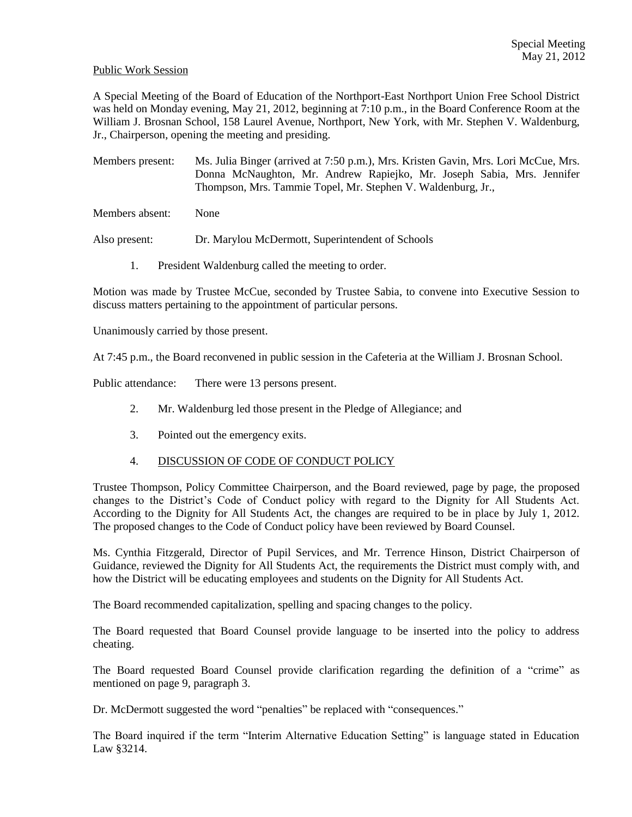## Public Work Session

A Special Meeting of the Board of Education of the Northport-East Northport Union Free School District was held on Monday evening, May 21, 2012, beginning at 7:10 p.m., in the Board Conference Room at the William J. Brosnan School, 158 Laurel Avenue, Northport, New York, with Mr. Stephen V. Waldenburg, Jr., Chairperson, opening the meeting and presiding.

Members present: Ms. Julia Binger (arrived at 7:50 p.m.), Mrs. Kristen Gavin, Mrs. Lori McCue, Mrs. Donna McNaughton, Mr. Andrew Rapiejko, Mr. Joseph Sabia, Mrs. Jennifer Thompson, Mrs. Tammie Topel, Mr. Stephen V. Waldenburg, Jr.,

Members absent: None

Also present: Dr. Marylou McDermott, Superintendent of Schools

1. President Waldenburg called the meeting to order.

Motion was made by Trustee McCue, seconded by Trustee Sabia, to convene into Executive Session to discuss matters pertaining to the appointment of particular persons.

Unanimously carried by those present.

At 7:45 p.m., the Board reconvened in public session in the Cafeteria at the William J. Brosnan School.

Public attendance: There were 13 persons present.

- 2. Mr. Waldenburg led those present in the Pledge of Allegiance; and
- 3. Pointed out the emergency exits.

## 4. DISCUSSION OF CODE OF CONDUCT POLICY

Trustee Thompson, Policy Committee Chairperson, and the Board reviewed, page by page, the proposed changes to the District's Code of Conduct policy with regard to the Dignity for All Students Act. According to the Dignity for All Students Act, the changes are required to be in place by July 1, 2012. The proposed changes to the Code of Conduct policy have been reviewed by Board Counsel.

Ms. Cynthia Fitzgerald, Director of Pupil Services, and Mr. Terrence Hinson, District Chairperson of Guidance, reviewed the Dignity for All Students Act, the requirements the District must comply with, and how the District will be educating employees and students on the Dignity for All Students Act.

The Board recommended capitalization, spelling and spacing changes to the policy.

The Board requested that Board Counsel provide language to be inserted into the policy to address cheating.

The Board requested Board Counsel provide clarification regarding the definition of a "crime" as mentioned on page 9, paragraph 3.

Dr. McDermott suggested the word "penalties" be replaced with "consequences."

The Board inquired if the term "Interim Alternative Education Setting" is language stated in Education Law §3214.